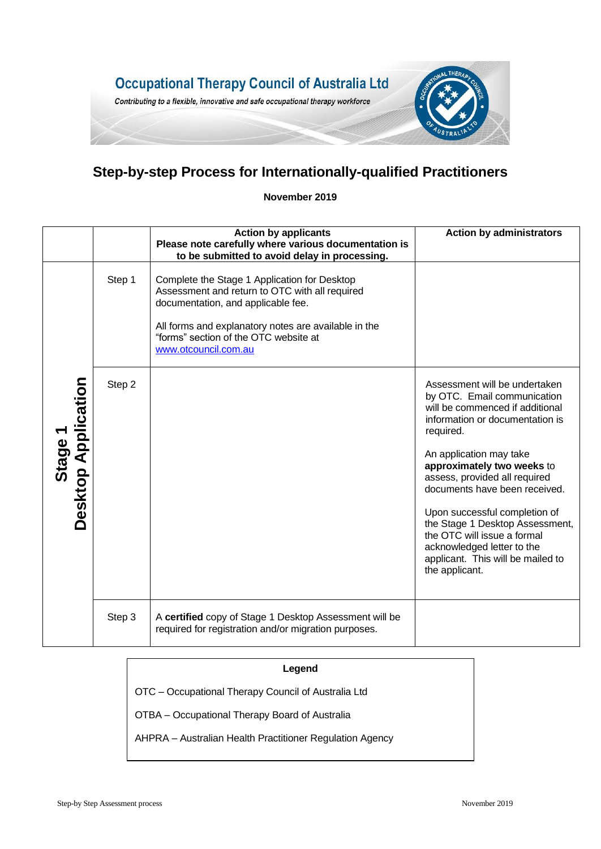

## **Step-by-step Process for Internationally-qualified Practitioners**

**November 2019**

|                                     |        | <b>Action by applicants</b><br>Please note carefully where various documentation is<br>to be submitted to avoid delay in processing.                                                                                                                          | <b>Action by administrators</b>                                                                                                                                                                                                                                                                                                                                                                                                                                    |
|-------------------------------------|--------|---------------------------------------------------------------------------------------------------------------------------------------------------------------------------------------------------------------------------------------------------------------|--------------------------------------------------------------------------------------------------------------------------------------------------------------------------------------------------------------------------------------------------------------------------------------------------------------------------------------------------------------------------------------------------------------------------------------------------------------------|
| <b>Desktop Application</b><br>Stage | Step 1 | Complete the Stage 1 Application for Desktop<br>Assessment and return to OTC with all required<br>documentation, and applicable fee.<br>All forms and explanatory notes are available in the<br>"forms" section of the OTC website at<br>www.otcouncil.com.au |                                                                                                                                                                                                                                                                                                                                                                                                                                                                    |
|                                     | Step 2 |                                                                                                                                                                                                                                                               | Assessment will be undertaken<br>by OTC. Email communication<br>will be commenced if additional<br>information or documentation is<br>required.<br>An application may take<br>approximately two weeks to<br>assess, provided all required<br>documents have been received.<br>Upon successful completion of<br>the Stage 1 Desktop Assessment,<br>the OTC will issue a formal<br>acknowledged letter to the<br>applicant. This will be mailed to<br>the applicant. |
|                                     | Step 3 | A certified copy of Stage 1 Desktop Assessment will be<br>required for registration and/or migration purposes.                                                                                                                                                |                                                                                                                                                                                                                                                                                                                                                                                                                                                                    |

OTC – Occupational Therapy Council of Australia Ltd

OTBA – Occupational Therapy Board of Australia

AHPRA – Australian Health Practitioner Regulation Agency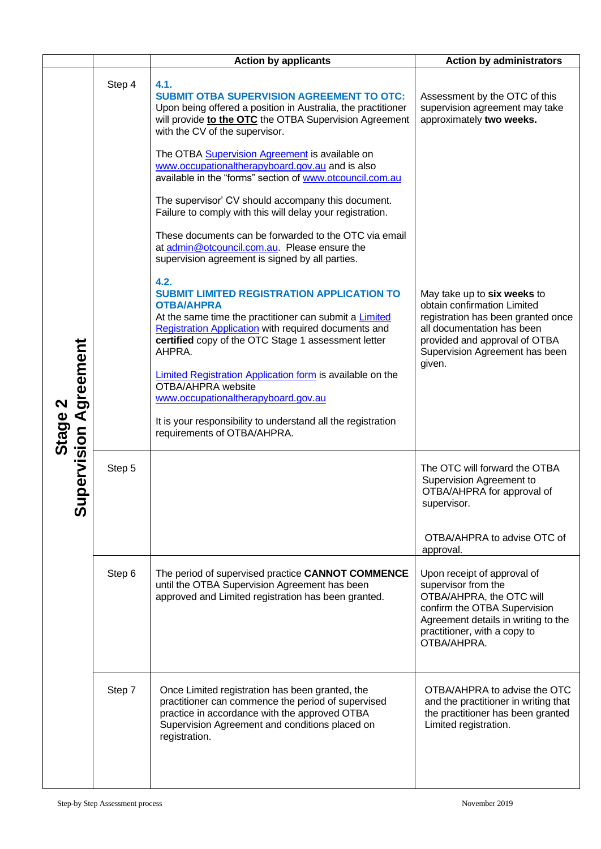|                                           |        | <b>Action by applicants</b>                                                                                                                                                                                                                                                                                                                                                                                                                                                                       | <b>Action by administrators</b>                                                                                                                                                                             |
|-------------------------------------------|--------|---------------------------------------------------------------------------------------------------------------------------------------------------------------------------------------------------------------------------------------------------------------------------------------------------------------------------------------------------------------------------------------------------------------------------------------------------------------------------------------------------|-------------------------------------------------------------------------------------------------------------------------------------------------------------------------------------------------------------|
| upervision Agreement<br>Stage<br><b>S</b> | Step 4 | 4.1.<br><b>SUBMIT OTBA SUPERVISION AGREEMENT TO OTC:</b><br>Upon being offered a position in Australia, the practitioner<br>will provide to the OTC the OTBA Supervision Agreement<br>with the CV of the supervisor.<br>The OTBA <b>Supervision Agreement</b> is available on                                                                                                                                                                                                                     | Assessment by the OTC of this<br>supervision agreement may take<br>approximately two weeks.                                                                                                                 |
|                                           |        | www.occupationaltherapyboard.gov.au and is also<br>available in the "forms" section of www.otcouncil.com.au<br>The supervisor' CV should accompany this document.<br>Failure to comply with this will delay your registration.                                                                                                                                                                                                                                                                    |                                                                                                                                                                                                             |
|                                           |        | These documents can be forwarded to the OTC via email<br>at admin@otcouncil.com.au. Please ensure the<br>supervision agreement is signed by all parties.                                                                                                                                                                                                                                                                                                                                          |                                                                                                                                                                                                             |
|                                           |        | 4.2.<br><b>SUBMIT LIMITED REGISTRATION APPLICATION TO</b><br><b>OTBA/AHPRA</b><br>At the same time the practitioner can submit a <b>Limited</b><br>Registration Application with required documents and<br>certified copy of the OTC Stage 1 assessment letter<br>AHPRA.<br>Limited Registration Application form is available on the<br>OTBA/AHPRA website<br>www.occupationaltherapyboard.gov.au<br>It is your responsibility to understand all the registration<br>requirements of OTBA/AHPRA. | May take up to six weeks to<br>obtain confirmation Limited<br>registration has been granted once<br>all documentation has been<br>provided and approval of OTBA<br>Supervision Agreement has been<br>given. |
|                                           | Step 5 |                                                                                                                                                                                                                                                                                                                                                                                                                                                                                                   | The OTC will forward the OTBA<br>Supervision Agreement to<br>OTBA/AHPRA for approval of<br>supervisor.                                                                                                      |
|                                           |        |                                                                                                                                                                                                                                                                                                                                                                                                                                                                                                   | OTBA/AHPRA to advise OTC of<br>approval.                                                                                                                                                                    |
|                                           | Step 6 | The period of supervised practice CANNOT COMMENCE<br>until the OTBA Supervision Agreement has been<br>approved and Limited registration has been granted.                                                                                                                                                                                                                                                                                                                                         | Upon receipt of approval of<br>supervisor from the<br>OTBA/AHPRA, the OTC will<br>confirm the OTBA Supervision<br>Agreement details in writing to the<br>practitioner, with a copy to<br>OTBA/AHPRA.        |
|                                           | Step 7 | Once Limited registration has been granted, the<br>practitioner can commence the period of supervised<br>practice in accordance with the approved OTBA<br>Supervision Agreement and conditions placed on<br>registration.                                                                                                                                                                                                                                                                         | OTBA/AHPRA to advise the OTC<br>and the practitioner in writing that<br>the practitioner has been granted<br>Limited registration.                                                                          |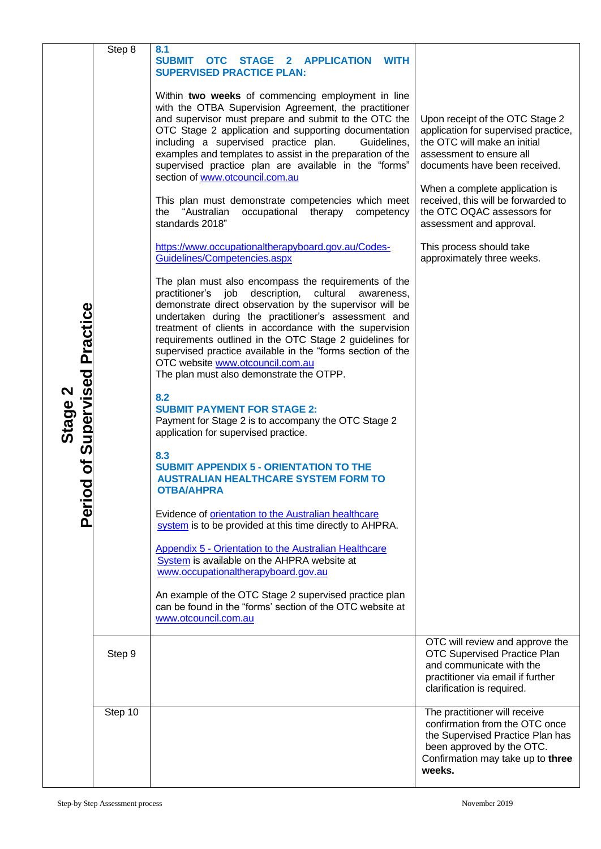|                           | Step 8                          | 8.1                                                                                                            |                                                                       |
|---------------------------|---------------------------------|----------------------------------------------------------------------------------------------------------------|-----------------------------------------------------------------------|
|                           |                                 | <b>SUBMIT</b><br>OTC STAGE 2 APPLICATION<br><b>WITH</b><br><b>SUPERVISED PRACTICE PLAN:</b>                    |                                                                       |
|                           |                                 |                                                                                                                |                                                                       |
|                           |                                 | Within two weeks of commencing employment in line<br>with the OTBA Supervision Agreement, the practitioner     |                                                                       |
|                           |                                 | and supervisor must prepare and submit to the OTC the                                                          | Upon receipt of the OTC Stage 2                                       |
|                           |                                 | OTC Stage 2 application and supporting documentation<br>including a supervised practice plan.<br>Guidelines,   | application for supervised practice,<br>the OTC will make an initial  |
|                           |                                 | examples and templates to assist in the preparation of the                                                     | assessment to ensure all                                              |
|                           |                                 | supervised practice plan are available in the "forms"<br>section of www.otcouncil.com.au                       | documents have been received.                                         |
|                           |                                 | This plan must demonstrate competencies which meet                                                             | When a complete application is<br>received, this will be forwarded to |
|                           |                                 | "Australian<br>occupational<br>therapy competency<br>the                                                       | the OTC OQAC assessors for                                            |
|                           |                                 | standards 2018"                                                                                                | assessment and approval.                                              |
|                           |                                 | https://www.occupationaltherapyboard.gov.au/Codes-                                                             | This process should take                                              |
|                           |                                 | Guidelines/Competencies.aspx                                                                                   | approximately three weeks.                                            |
|                           |                                 | The plan must also encompass the requirements of the<br>practitioner's job description, cultural<br>awareness, |                                                                       |
|                           |                                 | demonstrate direct observation by the supervisor will be                                                       |                                                                       |
|                           |                                 | undertaken during the practitioner's assessment and<br>treatment of clients in accordance with the supervision |                                                                       |
|                           |                                 | requirements outlined in the OTC Stage 2 guidelines for                                                        |                                                                       |
|                           |                                 | supervised practice available in the "forms section of the<br>OTC website www.otcouncil.com.au                 |                                                                       |
| od of Supervised Practice |                                 | The plan must also demonstrate the OTPP.                                                                       |                                                                       |
|                           |                                 | 8.2                                                                                                            |                                                                       |
|                           |                                 | <b>SUBMIT PAYMENT FOR STAGE 2:</b><br>Payment for Stage 2 is to accompany the OTC Stage 2                      |                                                                       |
| Stage 2                   |                                 | application for supervised practice.                                                                           |                                                                       |
|                           |                                 | 8.3                                                                                                            |                                                                       |
|                           |                                 | <b>SUBMIT APPENDIX 5 - ORIENTATION TO THE</b><br><b>AUSTRALIAN HEALTHCARE SYSTEM FORM TO</b>                   |                                                                       |
|                           |                                 | <b>OTBA/AHPRA</b>                                                                                              |                                                                       |
| erij                      |                                 | Evidence of orientation to the Australian healthcare                                                           |                                                                       |
|                           |                                 | system is to be provided at this time directly to AHPRA.                                                       |                                                                       |
|                           |                                 | Appendix 5 - Orientation to the Australian Healthcare                                                          |                                                                       |
|                           |                                 | System is available on the AHPRA website at<br>www.occupationaltherapyboard.gov.au                             |                                                                       |
|                           |                                 | An example of the OTC Stage 2 supervised practice plan                                                         |                                                                       |
|                           |                                 | can be found in the "forms' section of the OTC website at                                                      |                                                                       |
|                           |                                 | www.otcouncil.com.au                                                                                           |                                                                       |
|                           | Step 9                          |                                                                                                                | OTC will review and approve the<br>OTC Supervised Practice Plan       |
|                           |                                 |                                                                                                                | and communicate with the                                              |
|                           |                                 |                                                                                                                | practitioner via email if further<br>clarification is required.       |
|                           | Step 10                         |                                                                                                                | The practitioner will receive                                         |
|                           |                                 |                                                                                                                | confirmation from the OTC once                                        |
|                           |                                 |                                                                                                                | the Supervised Practice Plan has<br>been approved by the OTC.         |
|                           |                                 |                                                                                                                | Confirmation may take up to three                                     |
|                           |                                 |                                                                                                                | weeks.                                                                |
|                           | Step-by Step Assessment process |                                                                                                                | November 2019                                                         |